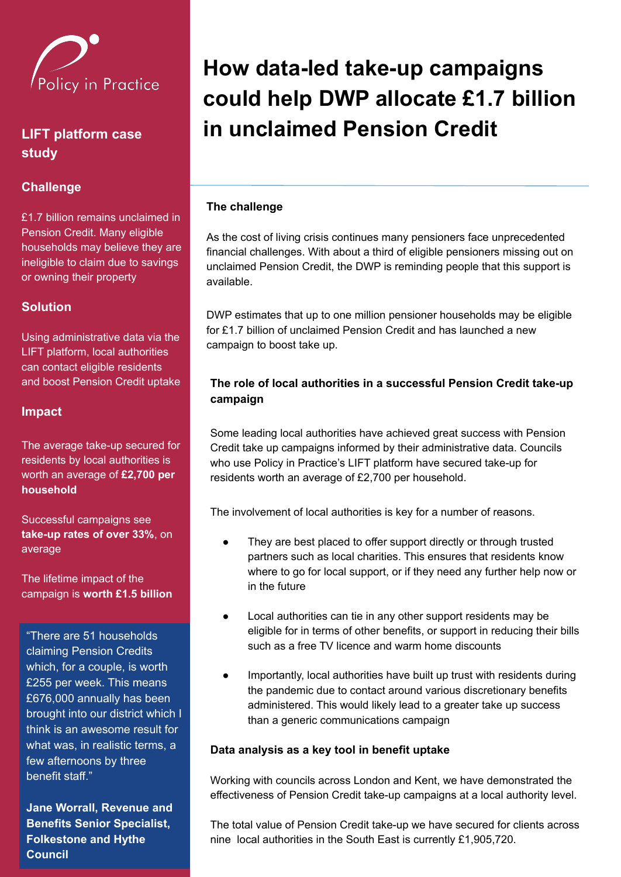

# **LIFT platform case study**

## **Challenge**

£1.7 billion remains unclaimed in Pension Credit. Many eligible households may believe they are ineligible to claim due to savings or owning their property

### **Solution**

Using administrative data via the LIFT platform, local authorities can contact eligible residents and boost Pension Credit uptake

#### **Impact**

The average take-up secured for residents by local authorities is worth an average of **£2,700 per household**

Successful campaigns see **take-up rates of over 33%**, on average

The lifetime impact of the campaign is **worth £1.5 billion**

"There are 51 households claiming Pension Credits which, for a couple, is worth £255 per week. This means £676,000 annually has been brought into our district which I think is an awesome result for what was, in realistic terms, a few afternoons by three benefit staff."

**Jane Worrall, Revenue and Benefits Senior Specialist, Folkestone and Hythe Council**

# **How data-led take-up campaigns could help DWP allocate £1.7 billion in unclaimed Pension Credit**

#### **The challenge**

As the cost of living crisis continues many pensioners face unprecedented financial challenges. With about a third of eligible pensioners missing out on unclaimed Pension Credit, the DWP is reminding people that this support is available.

DWP estimates that up to one million pensioner households may be eligible for £1.7 billion of unclaimed Pension Credit and has launched a new campaign to boost take up.

#### **The role of local authorities in a successful Pension Credit take-up campaign**

Some leading local authorities have achieved great success with Pension Credit take up campaigns informed by their administrative data. Councils who use Policy in Practice's LIFT platform have secured take-up for residents worth an average of £2,700 per household.

The involvement of local authorities is key for a number of reasons.

- They are best placed to offer support directly or through trusted partners such as local charities. This ensures that residents know where to go for local support, or if they need any further help now or in the future
- Local authorities can tie in any other support residents may be eligible for in terms of other benefits, or support in reducing their bills such as a free TV licence and warm home discounts
- Importantly, local authorities have built up trust with residents during the pandemic due to contact around various discretionary benefits administered. This would likely lead to a greater take up success than a generic communications campaign

#### **Data analysis as a key tool in benefit uptake**

Working with councils across London and Kent, we have demonstrated the effectiveness of Pension Credit take-up campaigns at a local authority level.

The total value of Pension Credit take-up we have secured for clients across nine local authorities in the South East is currently £1,905,720.